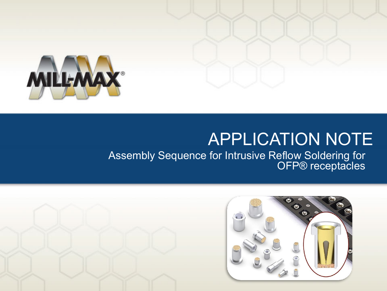

# APPLICATION NOTE

Assembly Sequence for Intrusive Reflow Soldering for OFP<sup>®</sup> receptacles

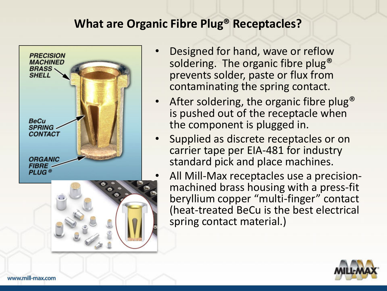#### **What are Organic Fibre Plug® Receptacles?**





- Designed for hand, wave or reflow soldering. The organic fibre plug® prevents solder, paste or flux from contaminating the spring contact.
- After soldering, the organic fibre plug<sup>®</sup> is pushed out of the receptacle when the component is plugged in.
- Supplied as discrete receptacles or on carrier tape per EIA-481 for industry standard pick and place machines.
	- All Mill-Max receptacles use a precisionmachined brass housing with a press-fit beryllium copper "multi-finger" contact (heat-treated BeCu is the best electrical spring contact material.)

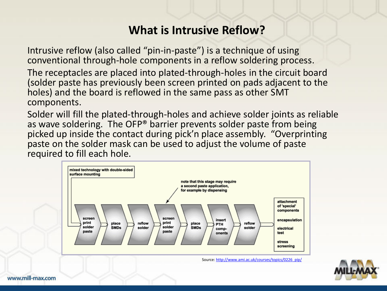#### **What is Intrusive Reflow?**

Intrusive reflow (also called "pin-in-paste") is a technique of using conventional through-hole components in a reflow soldering process.

The receptacles are placed into plated-through-holes in the circuit board (solder paste has previously been screen printed on pads adjacent to the holes) and the board is reflowed in the same pass as other SMT components.

Solder will fill the plated-through-holes and achieve solder joints as reliable as wave soldering. The OFP® barrier prevents solder paste from being picked up inside the contact during pick'n place assembly. "Overprinting paste on the solder mask can be used to adjust the volume of paste required to fill each hole.



Source: http://www.ami.ac.uk/courses/topics/0226\_pip/

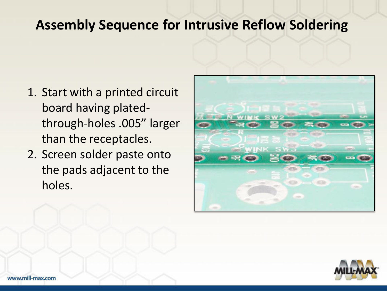- 1. Start with a printed circuit board having platedthrough-holes .005" larger than the receptacles.
- 2. Screen solder paste onto the pads adjacent to the holes.



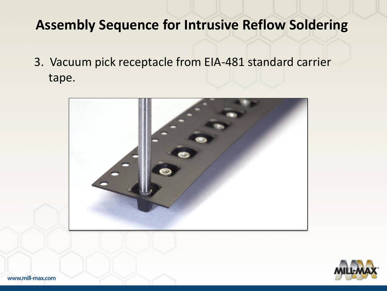3. Vacuum pick receptacle from EIA-481 standard carrier tape.



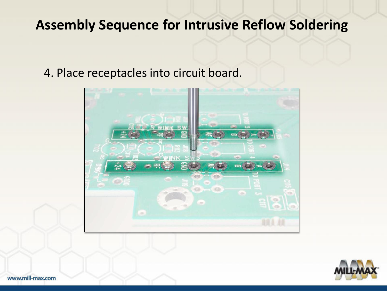4. Place receptacles into circuit board.





www.mill-max.com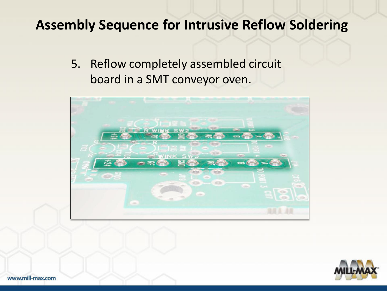5. Reflow completely assembled circuit board in a SMT conveyor oven.



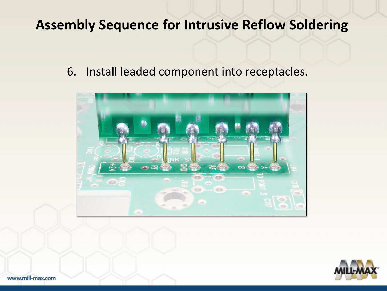6. Install leaded component into receptacles.



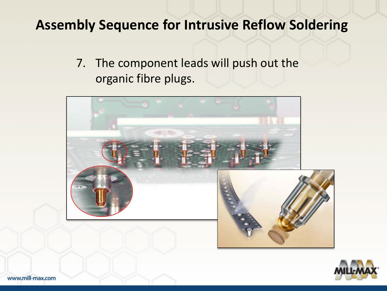7. The component leads will push out the organic fibre plugs.